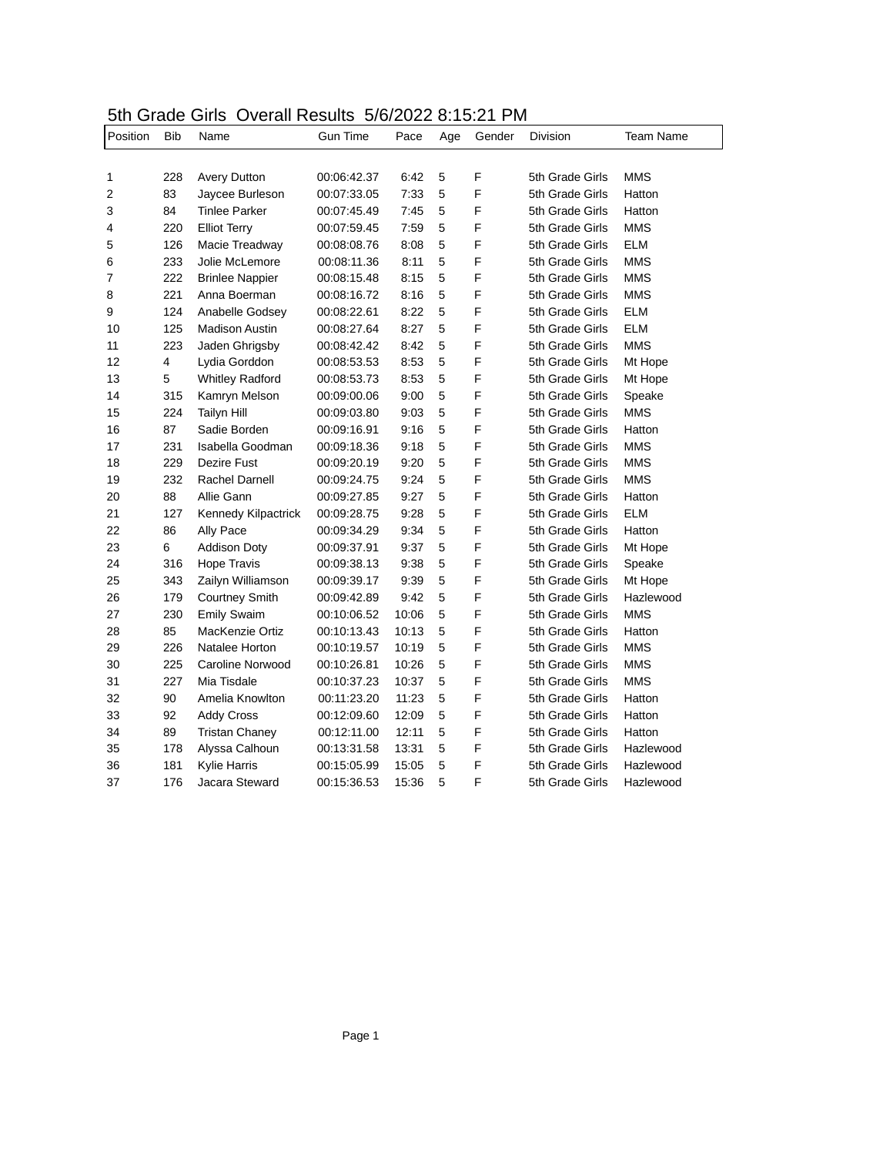## 5th Grade Girls Overall Results 5/6/2022 8:15:21 PM

| Position | Bib | Name                   | Gun Time    | Pace  | Age | Gender | Division        | <b>Team Name</b> |
|----------|-----|------------------------|-------------|-------|-----|--------|-----------------|------------------|
|          |     |                        |             |       |     |        |                 |                  |
| 1        | 228 | <b>Avery Dutton</b>    | 00:06:42.37 | 6:42  | 5   | F      | 5th Grade Girls | <b>MMS</b>       |
| 2        | 83  | Jaycee Burleson        | 00:07:33.05 | 7:33  | 5   | F      | 5th Grade Girls | Hatton           |
| 3        | 84  | Tinlee Parker          | 00:07:45.49 | 7:45  | 5   | F      | 5th Grade Girls | Hatton           |
| 4        | 220 | <b>Elliot Terry</b>    | 00:07:59.45 | 7:59  | 5   | F      | 5th Grade Girls | <b>MMS</b>       |
| 5        | 126 | Macie Treadway         | 00:08:08.76 | 8:08  | 5   | F      | 5th Grade Girls | <b>ELM</b>       |
| 6        | 233 | Jolie McLemore         | 00:08:11.36 | 8:11  | 5   | F      | 5th Grade Girls | <b>MMS</b>       |
| 7        | 222 | <b>Brinlee Nappier</b> | 00:08:15.48 | 8:15  | 5   | F      | 5th Grade Girls | <b>MMS</b>       |
| 8        | 221 | Anna Boerman           | 00:08:16.72 | 8:16  | 5   | F      | 5th Grade Girls | <b>MMS</b>       |
| 9        | 124 | Anabelle Godsey        | 00:08:22.61 | 8:22  | 5   | F      | 5th Grade Girls | <b>ELM</b>       |
| 10       | 125 | <b>Madison Austin</b>  | 00:08:27.64 | 8:27  | 5   | F      | 5th Grade Girls | <b>ELM</b>       |
| 11       | 223 | Jaden Ghrigsby         | 00:08:42.42 | 8:42  | 5   | F      | 5th Grade Girls | <b>MMS</b>       |
| 12       | 4   | Lydia Gorddon          | 00:08:53.53 | 8:53  | 5   | F      | 5th Grade Girls | Mt Hope          |
| 13       | 5   | <b>Whitley Radford</b> | 00:08:53.73 | 8:53  | 5   | F      | 5th Grade Girls | Mt Hope          |
| 14       | 315 | Kamryn Melson          | 00:09:00.06 | 9:00  | 5   | F      | 5th Grade Girls | Speake           |
| 15       | 224 | <b>Tailyn Hill</b>     | 00:09:03.80 | 9:03  | 5   | F      | 5th Grade Girls | <b>MMS</b>       |
| 16       | 87  | Sadie Borden           | 00:09:16.91 | 9:16  | 5   | F      | 5th Grade Girls | Hatton           |
| 17       | 231 | Isabella Goodman       | 00:09:18.36 | 9:18  | 5   | F      | 5th Grade Girls | <b>MMS</b>       |
| 18       | 229 | Dezire Fust            | 00:09:20.19 | 9:20  | 5   | F      | 5th Grade Girls | <b>MMS</b>       |
| 19       | 232 | Rachel Darnell         | 00:09:24.75 | 9:24  | 5   | F      | 5th Grade Girls | <b>MMS</b>       |
| 20       | 88  | Allie Gann             | 00:09:27.85 | 9:27  | 5   | F      | 5th Grade Girls | Hatton           |
| 21       | 127 | Kennedy Kilpactrick    | 00:09:28.75 | 9:28  | 5   | F      | 5th Grade Girls | <b>ELM</b>       |
| 22       | 86  | Ally Pace              | 00:09:34.29 | 9:34  | 5   | F      | 5th Grade Girls | Hatton           |
| 23       | 6   | <b>Addison Doty</b>    | 00:09:37.91 | 9:37  | 5   | F      | 5th Grade Girls | Mt Hope          |
| 24       | 316 | Hope Travis            | 00:09:38.13 | 9:38  | 5   | F      | 5th Grade Girls | Speake           |
| 25       | 343 | Zailyn Williamson      | 00:09:39.17 | 9:39  | 5   | F      | 5th Grade Girls | Mt Hope          |
| 26       | 179 | <b>Courtney Smith</b>  | 00:09:42.89 | 9:42  | 5   | F      | 5th Grade Girls | Hazlewood        |
| 27       | 230 | <b>Emily Swaim</b>     | 00:10:06.52 | 10:06 | 5   | F      | 5th Grade Girls | <b>MMS</b>       |
| 28       | 85  | MacKenzie Ortiz        | 00:10:13.43 | 10:13 | 5   | F      | 5th Grade Girls | Hatton           |
| 29       | 226 | Natalee Horton         | 00:10:19.57 | 10:19 | 5   | F      | 5th Grade Girls | <b>MMS</b>       |
| 30       | 225 | Caroline Norwood       | 00:10:26.81 | 10:26 | 5   | F      | 5th Grade Girls | <b>MMS</b>       |
| 31       | 227 | Mia Tisdale            | 00:10:37.23 | 10:37 | 5   | F      | 5th Grade Girls | <b>MMS</b>       |
| 32       | 90  | Amelia Knowlton        | 00:11:23.20 | 11:23 | 5   | F      | 5th Grade Girls | Hatton           |
| 33       | 92  | <b>Addy Cross</b>      | 00:12:09.60 | 12:09 | 5   | F      | 5th Grade Girls | Hatton           |
| 34       | 89  | <b>Tristan Chaney</b>  | 00:12:11.00 | 12:11 | 5   | F      | 5th Grade Girls | Hatton           |
| 35       | 178 | Alyssa Calhoun         | 00:13:31.58 | 13:31 | 5   | F      | 5th Grade Girls | Hazlewood        |
| 36       | 181 | Kylie Harris           | 00:15:05.99 | 15:05 | 5   | F      | 5th Grade Girls | Hazlewood        |
| 37       | 176 | Jacara Steward         | 00:15:36.53 | 15:36 | 5   | F      | 5th Grade Girls | Hazlewood        |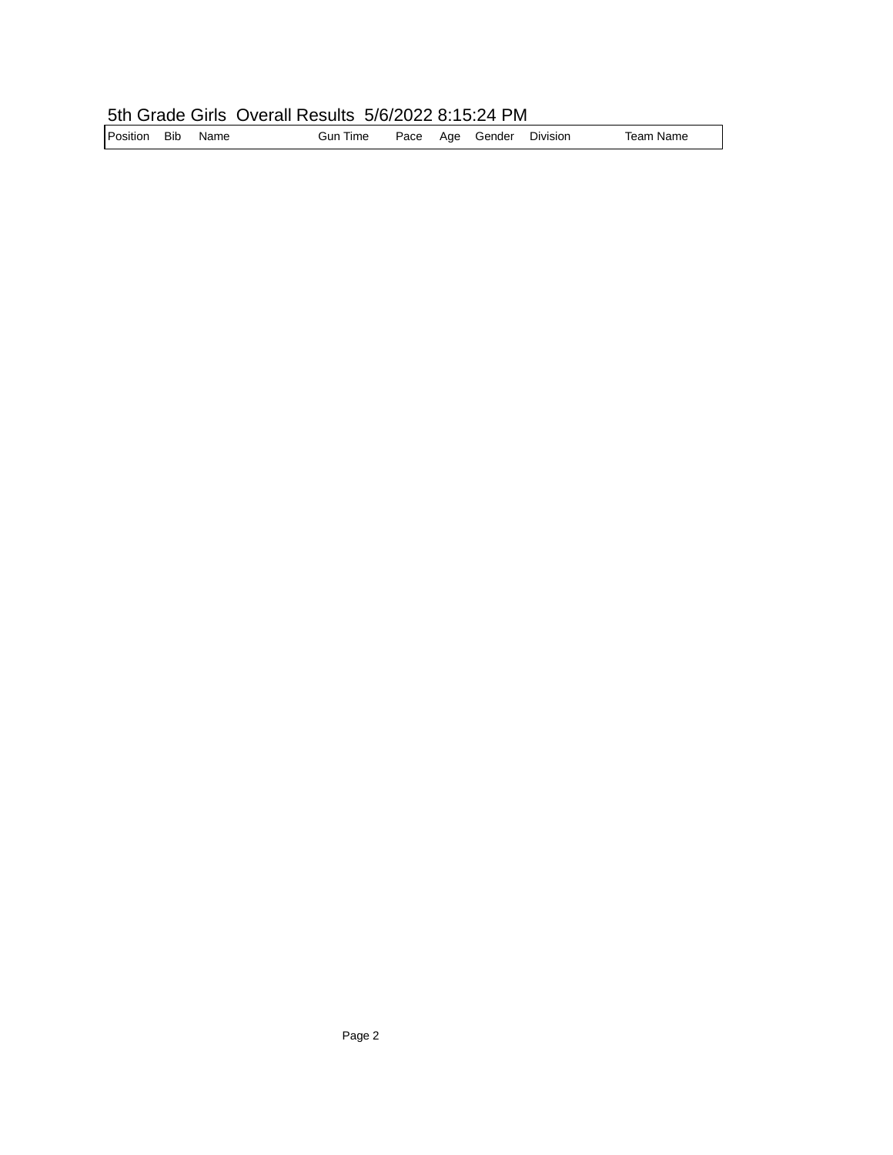## 5th Grade Girls Overall Results 5/6/2022 8:15:24 PM

| Position Bib |  | Name | <b>Gun Time</b> |  |  | Pace Age Gender Division |  | Team Name |
|--------------|--|------|-----------------|--|--|--------------------------|--|-----------|
|--------------|--|------|-----------------|--|--|--------------------------|--|-----------|